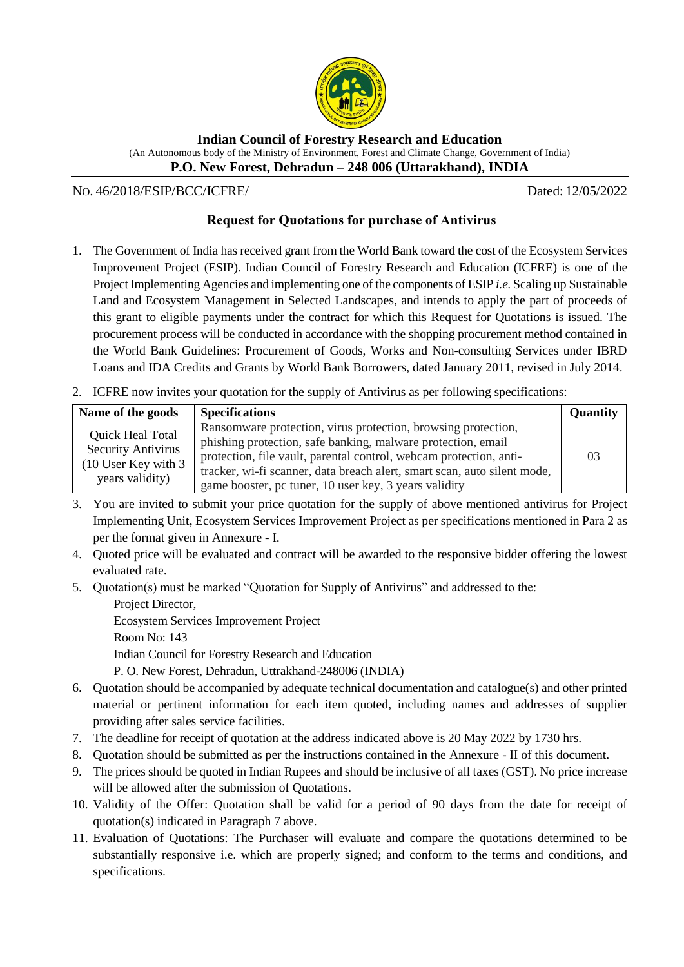

**Indian Council of Forestry Research and Education** (An Autonomous body of the Ministry of Environment, Forest and Climate Change, Government of India) **P.O. New Forest, Dehradun – 248 006 (Uttarakhand), INDIA**

NO. 46/2018/ESIP/BCC/ICFRE/ Dated: 12/05/2022

## **Request for Quotations for purchase of Antivirus**

- 1. The Government of India has received grant from the World Bank toward the cost of the Ecosystem Services Improvement Project (ESIP). Indian Council of Forestry Research and Education (ICFRE) is one of the Project Implementing Agencies and implementing one of the components of ESIP *i.e.* Scaling up Sustainable Land and Ecosystem Management in Selected Landscapes, and intends to apply the part of proceeds of this grant to eligible payments under the contract for which this Request for Quotations is issued. The procurement process will be conducted in accordance with the shopping procurement method contained in the World Bank Guidelines: Procurement of Goods, Works and Non-consulting Services under IBRD Loans and IDA Credits and Grants by World Bank Borrowers, dated January 2011, revised in July 2014.
- 2. ICFRE now invites your quotation for the supply of Antivirus as per following specifications:

| Name of the goods                                                                                | <b>Specifications</b>                                                                                                                                                                               | <b>Quantity</b> |
|--------------------------------------------------------------------------------------------------|-----------------------------------------------------------------------------------------------------------------------------------------------------------------------------------------------------|-----------------|
| <b>Quick Heal Total</b><br><b>Security Antivirus</b><br>$(10$ User Key with 3<br>years validity) | Ransomware protection, virus protection, browsing protection,<br>phishing protection, safe banking, malware protection, email<br>protection, file vault, parental control, webcam protection, anti- | 03              |
|                                                                                                  | tracker, wi-fi scanner, data breach alert, smart scan, auto silent mode,<br>game booster, pc tuner, 10 user key, 3 years validity                                                                   |                 |

- 3. You are invited to submit your price quotation for the supply of above mentioned antivirus for Project Implementing Unit, Ecosystem Services Improvement Project as per specifications mentioned in Para 2 as per the format given in Annexure - I.
- 4. Quoted price will be evaluated and contract will be awarded to the responsive bidder offering the lowest evaluated rate.
- 5. Quotation(s) must be marked "Quotation for Supply of Antivirus" and addressed to the:

Project Director, Ecosystem Services Improvement Project Room No: 143 Indian Council for Forestry Research and Education P. O. New Forest, Dehradun, Uttrakhand-248006 (INDIA)

- 6. Quotation should be accompanied by adequate technical documentation and catalogue(s) and other printed material or pertinent information for each item quoted, including names and addresses of supplier providing after sales service facilities.
- 7. The deadline for receipt of quotation at the address indicated above is 20 May 2022 by 1730 hrs.
- 8. Quotation should be submitted as per the instructions contained in the Annexure II of this document.
- 9. The prices should be quoted in Indian Rupees and should be inclusive of all taxes (GST). No price increase will be allowed after the submission of Quotations.
- 10. Validity of the Offer: Quotation shall be valid for a period of 90 days from the date for receipt of quotation(s) indicated in Paragraph 7 above.
- 11. Evaluation of Quotations: The Purchaser will evaluate and compare the quotations determined to be substantially responsive i.e. which are properly signed; and conform to the terms and conditions, and specifications.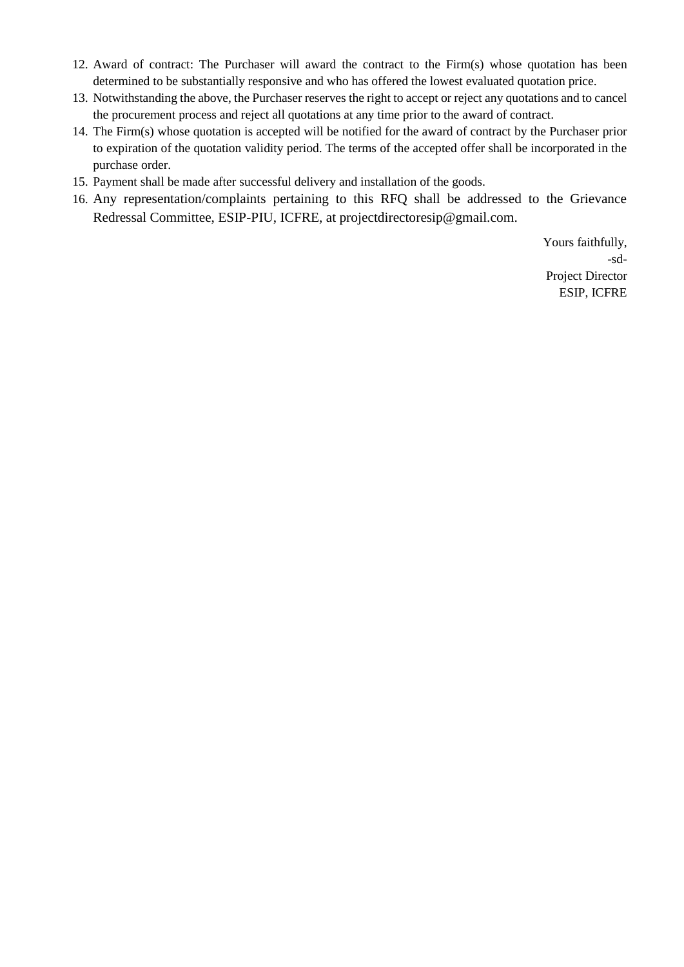- 12. Award of contract: The Purchaser will award the contract to the Firm(s) whose quotation has been determined to be substantially responsive and who has offered the lowest evaluated quotation price.
- 13. Notwithstanding the above, the Purchaser reserves the right to accept or reject any quotations and to cancel the procurement process and reject all quotations at any time prior to the award of contract.
- 14. The Firm(s) whose quotation is accepted will be notified for the award of contract by the Purchaser prior to expiration of the quotation validity period. The terms of the accepted offer shall be incorporated in the purchase order.
- 15. Payment shall be made after successful delivery and installation of the goods.
- 16. Any representation/complaints pertaining to this RFQ shall be addressed to the Grievance Redressal Committee, ESIP-PIU, ICFRE, at projectdirectoresip@gmail.com.

Yours faithfully, -sd-Project Director ESIP, ICFRE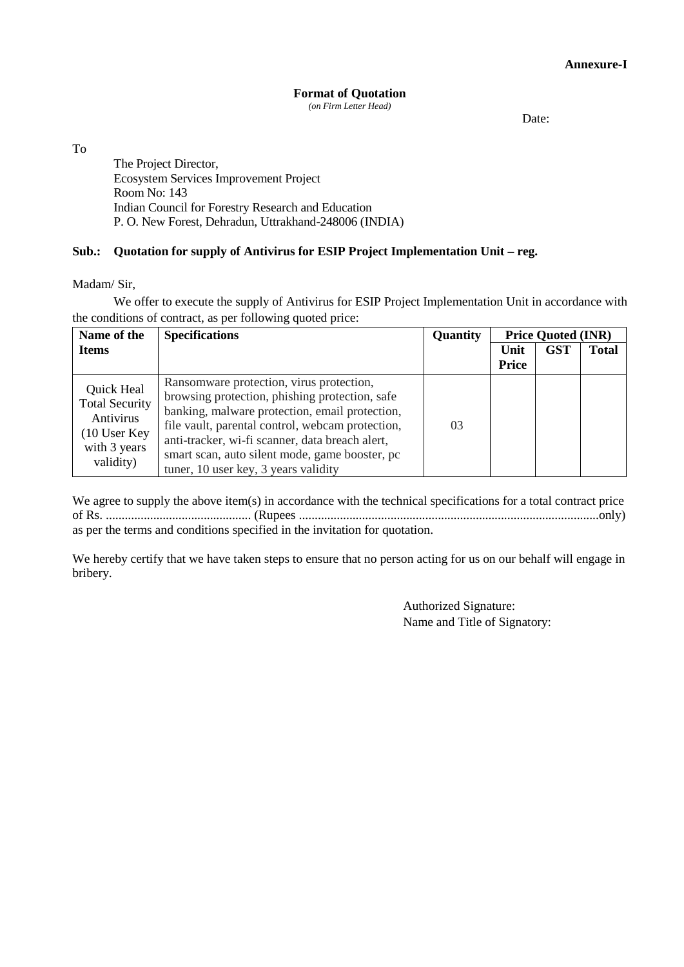## **Format of Quotation**

*(on Firm Letter Head)*

Date:

To

The Project Director, Ecosystem Services Improvement Project Room No: 143 Indian Council for Forestry Research and Education P. O. New Forest, Dehradun, Uttrakhand-248006 (INDIA)

## **Sub.: Quotation for supply of Antivirus for ESIP Project Implementation Unit – reg.**

Madam/ Sir,

We offer to execute the supply of Antivirus for ESIP Project Implementation Unit in accordance with the conditions of contract, as per following quoted price:

| Name of the                                                                                  | <b>Specifications</b>                                                                               | Quantity | <b>Price Quoted (INR)</b> |            |              |
|----------------------------------------------------------------------------------------------|-----------------------------------------------------------------------------------------------------|----------|---------------------------|------------|--------------|
| <b>Items</b>                                                                                 |                                                                                                     |          | Unit                      | <b>GST</b> | <b>Total</b> |
| Quick Heal<br><b>Total Security</b><br>Antivirus<br>10 User Key<br>with 3 years<br>validity) | Ransomware protection, virus protection,                                                            |          | Price                     |            |              |
|                                                                                              | browsing protection, phishing protection, safe                                                      |          |                           |            |              |
|                                                                                              | banking, malware protection, email protection,                                                      |          |                           |            |              |
|                                                                                              | file vault, parental control, webcam protection,<br>anti-tracker, wi-fi scanner, data breach alert, | 03       |                           |            |              |
|                                                                                              | smart scan, auto silent mode, game booster, pc                                                      |          |                           |            |              |
|                                                                                              | tuner, 10 user key, 3 years validity                                                                |          |                           |            |              |

We agree to supply the above item(s) in accordance with the technical specifications for a total contract price of Rs. .............................................. (Rupees ...............................................................................................only) as per the terms and conditions specified in the invitation for quotation.

We hereby certify that we have taken steps to ensure that no person acting for us on our behalf will engage in bribery.

> Authorized Signature: Name and Title of Signatory: